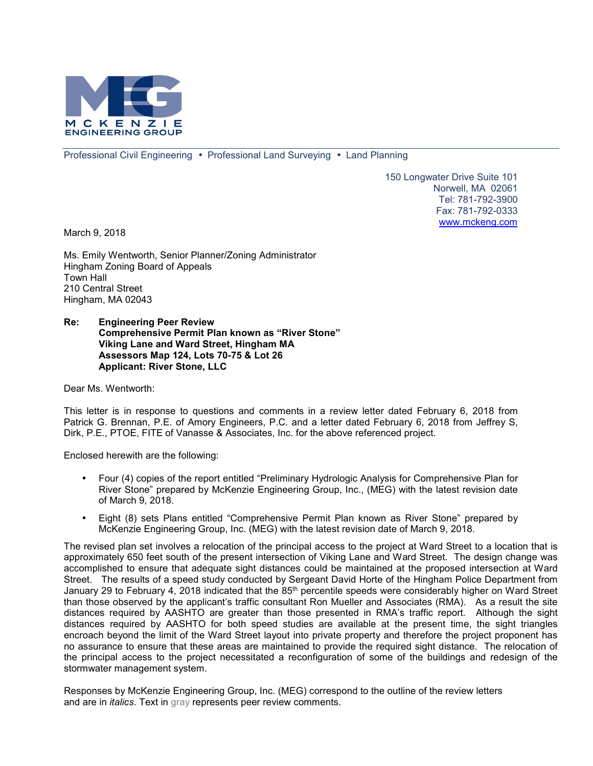

Professional Civil Engineering • Professional Land Surveying • Land Planning

150 Longwater Drive Suite 101 Norwell, MA 02061 Tel: 781-792-3900 Fax: 781-792-0333 www.mckeng.com

March 9, 2018

Ms. Emily Wentworth, Senior Planner/Zoning Administrator Hingham Zoning Board of Appeals Town Hall 210 Central Street Hingham, MA 02043

### **Re: Engineering Peer Review Comprehensive Permit Plan known as "River Stone" Viking Lane and Ward Street, Hingham MA Assessors Map 124, Lots 70-75 & Lot 26 Applicant: River Stone, LLC**

Dear Ms. Wentworth:

This letter is in response to questions and comments in a review letter dated February 6, 2018 from Patrick G. Brennan, P.E. of Amory Engineers, P.C. and a letter dated February 6, 2018 from Jeffrey S, Dirk, P.E., PTOE, FITE of Vanasse & Associates, Inc. for the above referenced project.

Enclosed herewith are the following:

- Four (4) copies of the report entitled "Preliminary Hydrologic Analysis for Comprehensive Plan for River Stone" prepared by McKenzie Engineering Group, Inc., (MEG) with the latest revision date of March 9, 2018.
- Eight (8) sets Plans entitled "Comprehensive Permit Plan known as River Stone" prepared by McKenzie Engineering Group, Inc. (MEG) with the latest revision date of March 9, 2018.

The revised plan set involves a relocation of the principal access to the project at Ward Street to a location that is approximately 650 feet south of the present intersection of Viking Lane and Ward Street. The design change was accomplished to ensure that adequate sight distances could be maintained at the proposed intersection at Ward Street. The results of a speed study conducted by Sergeant David Horte of the Hingham Police Department from January 29 to February 4, 2018 indicated that the 85<sup>th</sup> percentile speeds were considerably higher on Ward Street than those observed by the applicant's traffic consultant Ron Mueller and Associates (RMA). As a result the site distances required by AASHTO are greater than those presented in RMA's traffic report. Although the sight distances required by AASHTO for both speed studies are available at the present time, the sight triangles encroach beyond the limit of the Ward Street layout into private property and therefore the project proponent has no assurance to ensure that these areas are maintained to provide the required sight distance. The relocation of the principal access to the project necessitated a reconfiguration of some of the buildings and redesign of the stormwater management system.

Responses by McKenzie Engineering Group, Inc. (MEG) correspond to the outline of the review letters and are in *italics*. Text in gray represents peer review comments.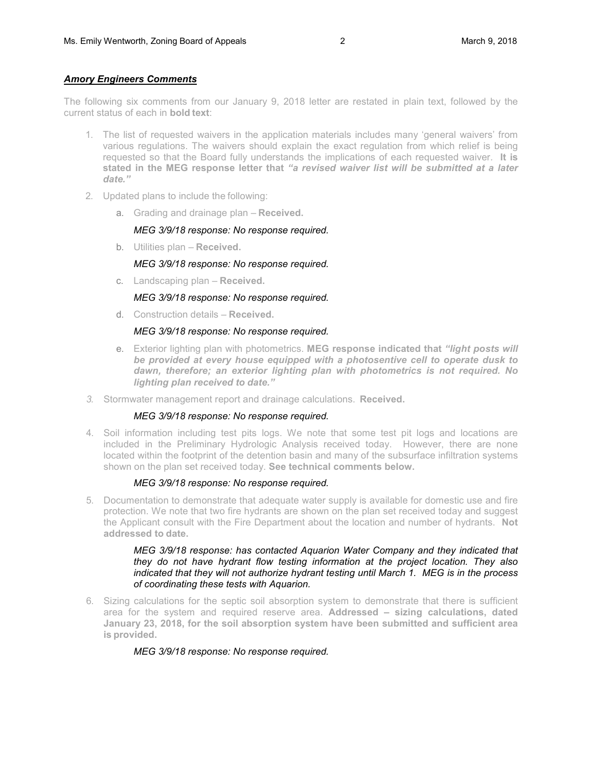## *Amory Engineers Comments*

The following six comments from our January 9, 2018 letter are restated in plain text, followed by the current status of each in **bold text**:

- 1. The list of requested waivers in the application materials includes many 'general waivers' from various regulations. The waivers should explain the exact regulation from which relief is being requested so that the Board fully understands the implications of each requested waiver. **It is stated in the MEG response letter that** *"a revised waiver list will be submitted at a later date."*
- 2. Updated plans to include the following:
	- a. Grading and drainage plan **Received.**

### *MEG 3/9/18 response: No response required.*

b. Utilities plan – **Received.**

### *MEG 3/9/18 response: No response required.*

c. Landscaping plan – **Received.**

## *MEG 3/9/18 response: No response required.*

d. Construction details – **Received.**

### *MEG 3/9/18 response: No response required.*

- e. Exterior lighting plan with photometrics. **MEG response indicated that** *"light posts will be provided at every house equipped with a photosentive cell to operate dusk to dawn, therefore; an exterior lighting plan with photometrics is not required. No lighting plan received to date."*
- *3.* Stormwater management report and drainage calculations. **Received.**

## *MEG 3/9/18 response: No response required.*

4. Soil information including test pits logs. We note that some test pit logs and locations are included in the Preliminary Hydrologic Analysis received today. However, there are none located within the footprint of the detention basin and many of the subsurface infiltration systems shown on the plan set received today. **See technical comments below.**

## *MEG 3/9/18 response: No response required.*

5. Documentation to demonstrate that adequate water supply is available for domestic use and fire protection. We note that two fire hydrants are shown on the plan set received today and suggest the Applicant consult with the Fire Department about the location and number of hydrants. **Not addressed to date.**

### *MEG 3/9/18 response: has contacted Aquarion Water Company and they indicated that they do not have hydrant flow testing information at the project location. They also indicated that they will not authorize hydrant testing until March 1. MEG is in the process of coordinating these tests with Aquarion.*

6. Sizing calculations for the septic soil absorption system to demonstrate that there is sufficient area for the system and required reserve area. **Addressed – sizing calculations, dated January 23, 2018, for the soil absorption system have been submitted and sufficient area is provided.**

## *MEG 3/9/18 response: No response required.*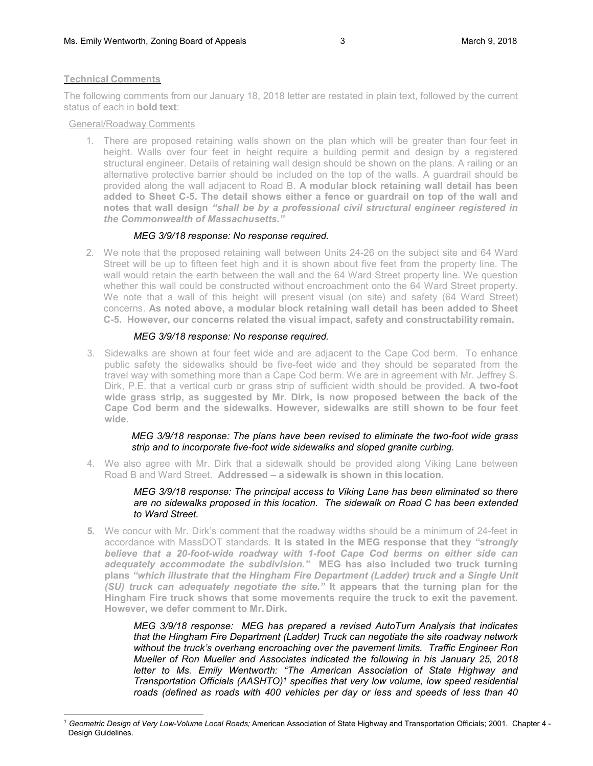### **Technical Comments**

 $\overline{a}$ 

The following comments from our January 18, 2018 letter are restated in plain text, followed by the current status of each in **bold text**:

General/Roadway Comments

1. There are proposed retaining walls shown on the plan which will be greater than four feet in height. Walls over four feet in height require a building permit and design by a registered structural engineer. Details of retaining wall design should be shown on the plans. A railing or an alternative protective barrier should be included on the top of the walls. A guardrail should be provided along the wall adjacent to Road B. **A modular block retaining wall detail has been added to Sheet C-5. The detail shows either a fence or guardrail on top of the wall and notes that wall design** *"shall be by a professional civil structural engineer registered in the Commonwealth of Massachusetts."*

# *MEG 3/9/18 response: No response required.*

2. We note that the proposed retaining wall between Units 24-26 on the subject site and 64 Ward Street will be up to fifteen feet high and it is shown about five feet from the property line. The wall would retain the earth between the wall and the 64 Ward Street property line. We question whether this wall could be constructed without encroachment onto the 64 Ward Street property. We note that a wall of this height will present visual (on site) and safety (64 Ward Street) concerns. **As noted above, a modular block retaining wall detail has been added to Sheet C-5. However, our concerns related the visual impact, safety and constructability remain.**

# *MEG 3/9/18 response: No response required.*

3. Sidewalks are shown at four feet wide and are adjacent to the Cape Cod berm. To enhance public safety the sidewalks should be five-feet wide and they should be separated from the travel way with something more than a Cape Cod berm. We are in agreement with Mr. Jeffrey S. Dirk, P.E. that a vertical curb or grass strip of sufficient width should be provided. **A two-foot wide grass strip, as suggested by Mr. Dirk, is now proposed between the back of the Cape Cod berm and the sidewalks. However, sidewalks are still shown to be four feet wide.**

## *MEG 3/9/18 response: The plans have been revised to eliminate the two-foot wide grass strip and to incorporate five-foot wide sidewalks and sloped granite curbing.*

4. We also agree with Mr. Dirk that a sidewalk should be provided along Viking Lane between Road B and Ward Street. **Addressed – a sidewalk is shown in this location.**

### *MEG 3/9/18 response: The principal access to Viking Lane has been eliminated so there are no sidewalks proposed in this location. The sidewalk on Road C has been extended to Ward Street.*

**5.** We concur with Mr. Dirk's comment that the roadway widths should be a minimum of 24-feet in accordance with MassDOT standards. **It is stated in the MEG response that they** *"strongly believe that a 20-foot-wide roadway with 1-foot Cape Cod berms on either side can adequately accommodate the subdivision."* **MEG has also included two truck turning plans** *"which illustrate that the Hingham Fire Department (Ladder) truck and a Single Unit (SU) truck can adequately negotiate the site."* **It appears that the turning plan for the Hingham Fire truck shows that some movements require the truck to exit the pavement. However, we defer comment to Mr. Dirk.** 

> *MEG 3/9/18 response: MEG has prepared a revised AutoTurn Analysis that indicates that the Hingham Fire Department (Ladder) Truck can negotiate the site roadway network without the truck's overhang encroaching over the pavement limits. Traffic Engineer Ron Mueller of Ron Mueller and Associates indicated the following in his January 25, 2018 letter to Ms. Emily Wentworth: "The American Association of State Highway and Transportation Officials (AASHTO)<sup>1</sup> specifies that very low volume, low speed residential roads (defined as roads with 400 vehicles per day or less and speeds of less than 40*

<sup>1</sup> *Geometric Design of Very Low-Volume Local Roads;* American Association of State Highway and Transportation Officials; 2001. Chapter 4 - Design Guidelines.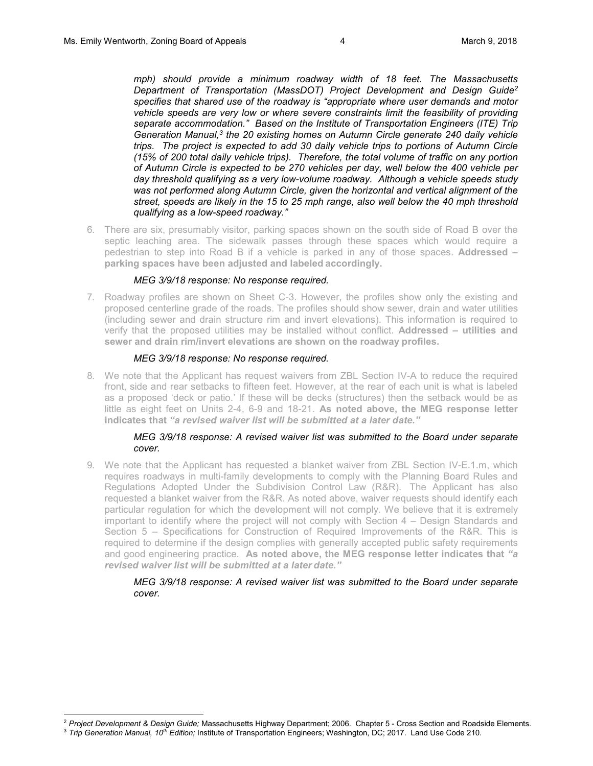*mph) should provide a minimum roadway width of 18 feet. The Massachusetts Department of Transportation (MassDOT) Project Development and Design Guide<sup>2</sup> specifies that shared use of the roadway is "appropriate where user demands and motor vehicle speeds are very low or where severe constraints limit the feasibility of providing separate accommodation." Based on the Institute of Transportation Engineers (ITE) Trip Generation Manual,<sup>3</sup> the 20 existing homes on Autumn Circle generate 240 daily vehicle trips. The project is expected to add 30 daily vehicle trips to portions of Autumn Circle (15% of 200 total daily vehicle trips). Therefore, the total volume of traffic on any portion of Autumn Circle is expected to be 270 vehicles per day, well below the 400 vehicle per day threshold qualifying as a very low-volume roadway. Although a vehicle speeds study was not performed along Autumn Circle, given the horizontal and vertical alignment of the street, speeds are likely in the 15 to 25 mph range, also well below the 40 mph threshold qualifying as a low-speed roadway."* 

6. There are six, presumably visitor, parking spaces shown on the south side of Road B over the septic leaching area. The sidewalk passes through these spaces which would require a pedestrian to step into Road B if a vehicle is parked in any of those spaces. **Addressed – parking spaces have been adjusted and labeled accordingly.**

#### *MEG 3/9/18 response: No response required.*

7. Roadway profiles are shown on Sheet C-3. However, the profiles show only the existing and proposed centerline grade of the roads. The profiles should show sewer, drain and water utilities (including sewer and drain structure rim and invert elevations). This information is required to verify that the proposed utilities may be installed without conflict. **Addressed – utilities and sewer and drain rim/invert elevations are shown on the roadway profiles.**

### *MEG 3/9/18 response: No response required.*

8. We note that the Applicant has request waivers from ZBL Section IV-A to reduce the required front, side and rear setbacks to fifteen feet. However, at the rear of each unit is what is labeled as a proposed 'deck or patio.' If these will be decks (structures) then the setback would be as little as eight feet on Units 2-4, 6-9 and 18-21. **As noted above, the MEG response letter indicates that** *"a revised waiver list will be submitted at a later date."*

### *MEG 3/9/18 response: A revised waiver list was submitted to the Board under separate cover.*

9. We note that the Applicant has requested a blanket waiver from ZBL Section IV-E.1.m, which requires roadways in multi-family developments to comply with the Planning Board Rules and Regulations Adopted Under the Subdivision Control Law (R&R). The Applicant has also requested a blanket waiver from the R&R. As noted above, waiver requests should identify each particular regulation for which the development will not comply. We believe that it is extremely important to identify where the project will not comply with Section 4 – Design Standards and Section 5 – Specifications for Construction of Required Improvements of the R&R. This is required to determine if the design complies with generally accepted public safety requirements and good engineering practice. **As noted above, the MEG response letter indicates that** *"a revised waiver list will be submitted at a later date."*

### *MEG 3/9/18 response: A revised waiver list was submitted to the Board under separate cover.*

 $\overline{a}$ 

<sup>2</sup> *Project Development & Design Guide;* Massachusetts Highway Department; 2006. Chapter 5 - Cross Section and Roadside Elements.

<sup>3</sup> *Trip Generation Manual, 10th Edition;* Institute of Transportation Engineers; Washington, DC; 2017. Land Use Code 210.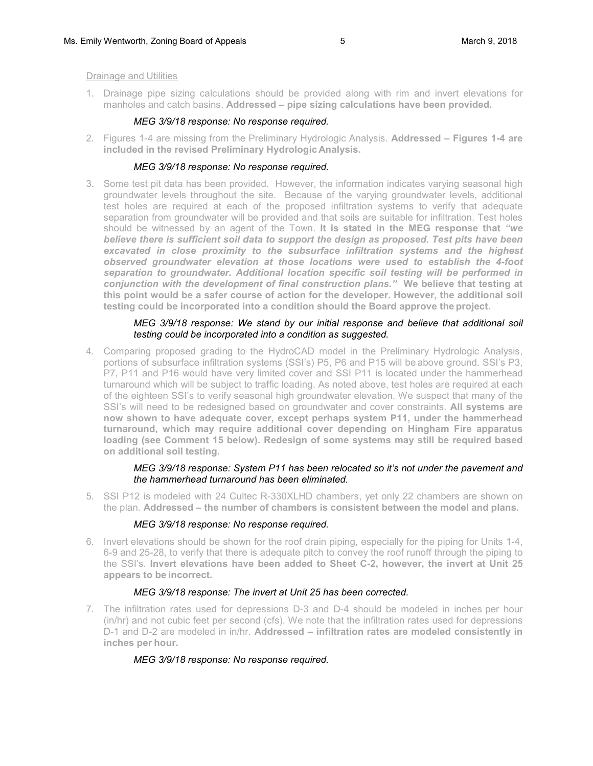### Drainage and Utilities

1. Drainage pipe sizing calculations should be provided along with rim and invert elevations for manholes and catch basins. **Addressed – pipe sizing calculations have been provided.**

## *MEG 3/9/18 response: No response required.*

2. Figures 1-4 are missing from the Preliminary Hydrologic Analysis. **Addressed – Figures 1-4 are included in the revised Preliminary Hydrologic Analysis.**

## *MEG 3/9/18 response: No response required.*

3. Some test pit data has been provided. However, the information indicates varying seasonal high groundwater levels throughout the site. Because of the varying groundwater levels, additional test holes are required at each of the proposed infiltration systems to verify that adequate separation from groundwater will be provided and that soils are suitable for infiltration. Test holes should be witnessed by an agent of the Town. **It is stated in the MEG response that** *"we believe there is sufficient soil data to support the design as proposed. Test pits have been*  excavated in close proximity to the subsurface infiltration systems and the highest *observed groundwater elevation at those locations were used to establish the 4-foot separation to groundwater. Additional location specific soil testing will be performed in conjunction with the development of final construction plans."* **We believe that testing at this point would be a safer course of action for the developer. However, the additional soil testing could be incorporated into a condition should the Board approve the project.**

## *MEG 3/9/18 response: We stand by our initial response and believe that additional soil testing could be incorporated into a condition as suggested.*

4. Comparing proposed grading to the HydroCAD model in the Preliminary Hydrologic Analysis, portions of subsurface infiltration systems (SSI's) P5, P6 and P15 will be above ground. SSI's P3, P7, P11 and P16 would have very limited cover and SSI P11 is located under the hammerhead turnaround which will be subject to traffic loading. As noted above, test holes are required at each of the eighteen SSI's to verify seasonal high groundwater elevation. We suspect that many of the SSI's will need to be redesigned based on groundwater and cover constraints. **All systems are now shown to have adequate cover, except perhaps system P11, under the hammerhead turnaround, which may require additional cover depending on Hingham Fire apparatus loading (see Comment 15 below). Redesign of some systems may still be required based on additional soil testing.**

## *MEG 3/9/18 response: System P11 has been relocated so it's not under the pavement and the hammerhead turnaround has been eliminated.*

5. SSI P12 is modeled with 24 Cultec R-330XLHD chambers, yet only 22 chambers are shown on the plan. **Addressed – the number of chambers is consistent between the model and plans.**

## *MEG 3/9/18 response: No response required.*

6. Invert elevations should be shown for the roof drain piping, especially for the piping for Units 1-4, 6-9 and 25-28, to verify that there is adequate pitch to convey the roof runoff through the piping to the SSI's. **Invert elevations have been added to Sheet C-2, however, the invert at Unit 25 appears to be incorrect.**

## *MEG 3/9/18 response: The invert at Unit 25 has been corrected.*

7. The infiltration rates used for depressions D-3 and D-4 should be modeled in inches per hour (in/hr) and not cubic feet per second (cfs). We note that the infiltration rates used for depressions D-1 and D-2 are modeled in in/hr. **Addressed – infiltration rates are modeled consistently in inches per hour.**

# *MEG 3/9/18 response: No response required.*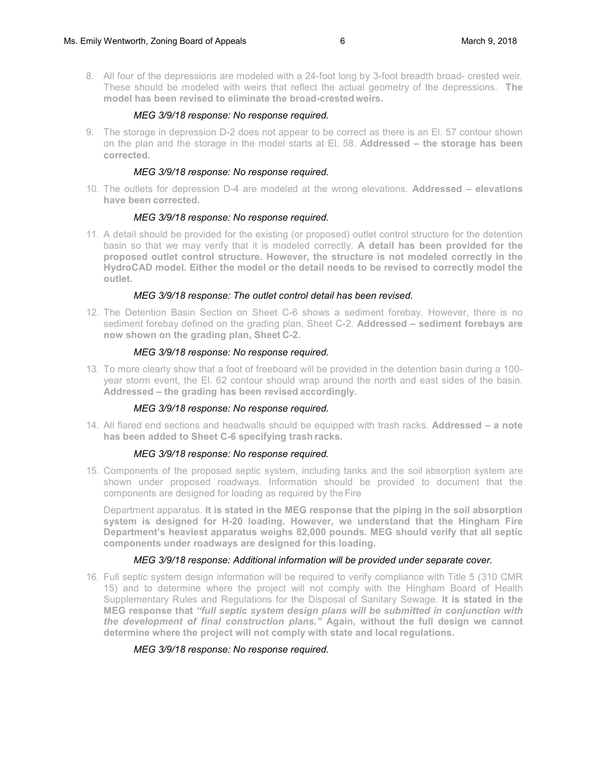8. All four of the depressions are modeled with a 24-foot long by 3-foot breadth broad- crested weir. These should be modeled with weirs that reflect the actual geometry of the depressions. **The model has been revised to eliminate the broad-crested weirs.**

### *MEG 3/9/18 response: No response required.*

9. The storage in depression D-2 does not appear to be correct as there is an El. 57 contour shown on the plan and the storage in the model starts at El. 58. **Addressed – the storage has been corrected.**

### *MEG 3/9/18 response: No response required.*

10. The outlets for depression D-4 are modeled at the wrong elevations. **Addressed – elevations have been corrected.**

### *MEG 3/9/18 response: No response required.*

11. A detail should be provided for the existing (or proposed) outlet control structure for the detention basin so that we may verify that it is modeled correctly. **A detail has been provided for the proposed outlet control structure. However, the structure is not modeled correctly in the HydroCAD model. Either the model or the detail needs to be revised to correctly model the outlet.**

### *MEG 3/9/18 response: The outlet control detail has been revised.*

12. The Detention Basin Section on Sheet C-6 shows a sediment forebay. However, there is no sediment forebay defined on the grading plan, Sheet C-2. **Addressed – sediment forebays are now shown on the grading plan, Sheet C-2.**

### *MEG 3/9/18 response: No response required.*

13. To more clearly show that a foot of freeboard will be provided in the detention basin during a 100 year storm event, the El. 62 contour should wrap around the north and east sides of the basin. **Addressed – the grading has been revised accordingly.**

#### *MEG 3/9/18 response: No response required.*

14. All flared end sections and headwalls should be equipped with trash racks. **Addressed – a note has been added to Sheet C-6 specifying trash racks.**

#### *MEG 3/9/18 response: No response required.*

15. Components of the proposed septic system, including tanks and the soil absorption system are shown under proposed roadways. Information should be provided to document that the components are designed for loading as required by the Fire

Department apparatus. **It is stated in the MEG response that the piping in the soil absorption system is designed for H-20 loading. However, we understand that the Hingham Fire Department's heaviest apparatus weighs 82,000 pounds. MEG should verify that all septic components under roadways are designed for this loading.** 

## *MEG 3/9/18 response: Additional information will be provided under separate cover.*

16. Full septic system design information will be required to verify compliance with Title 5 (310 CMR 15) and to determine where the project will not comply with the Hingham Board of Health Supplementary Rules and Regulations for the Disposal of Sanitary Sewage. **It is stated in the MEG response that** *"full septic system design plans will be submitted in conjunction with the development of final construction plans."* **Again, without the full design we cannot determine where the project will not comply with state and local regulations.**

## *MEG 3/9/18 response: No response required.*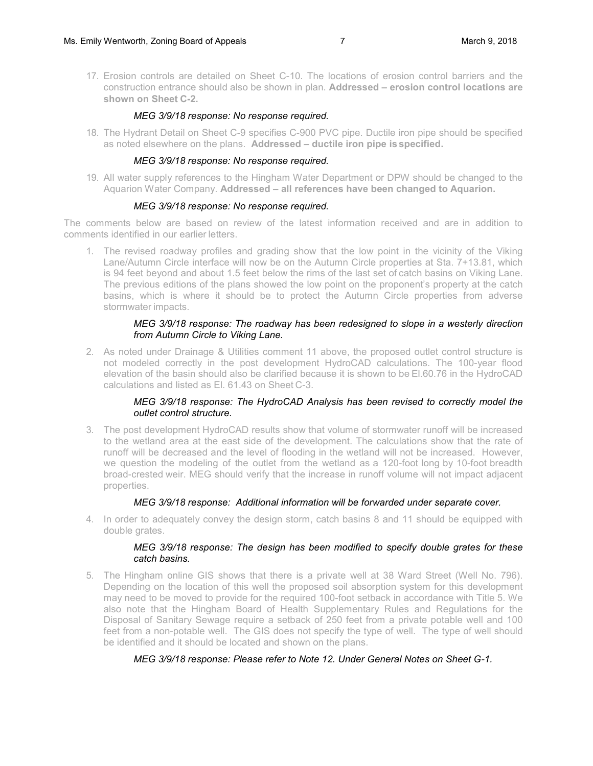17. Erosion controls are detailed on Sheet C-10. The locations of erosion control barriers and the construction entrance should also be shown in plan. **Addressed – erosion control locations are shown on Sheet C-2.**

### *MEG 3/9/18 response: No response required.*

18. The Hydrant Detail on Sheet C-9 specifies C-900 PVC pipe. Ductile iron pipe should be specified as noted elsewhere on the plans. **Addressed – ductile iron pipe is specified.**

### *MEG 3/9/18 response: No response required.*

19. All water supply references to the Hingham Water Department or DPW should be changed to the Aquarion Water Company. **Addressed – all references have been changed to Aquarion.**

#### *MEG 3/9/18 response: No response required.*

The comments below are based on review of the latest information received and are in addition to comments identified in our earlier letters.

1. The revised roadway profiles and grading show that the low point in the vicinity of the Viking Lane/Autumn Circle interface will now be on the Autumn Circle properties at Sta. 7+13.81, which is 94 feet beyond and about 1.5 feet below the rims of the last set of catch basins on Viking Lane. The previous editions of the plans showed the low point on the proponent's property at the catch basins, which is where it should be to protect the Autumn Circle properties from adverse stormwater impacts.

### *MEG 3/9/18 response: The roadway has been redesigned to slope in a westerly direction from Autumn Circle to Viking Lane.*

2. As noted under Drainage & Utilities comment 11 above, the proposed outlet control structure is not modeled correctly in the post development HydroCAD calculations. The 100-year flood elevation of the basin should also be clarified because it is shown to be El.60.76 in the HydroCAD calculations and listed as El. 61.43 on Sheet C-3.

## *MEG 3/9/18 response: The HydroCAD Analysis has been revised to correctly model the outlet control structure.*

3. The post development HydroCAD results show that volume of stormwater runoff will be increased to the wetland area at the east side of the development. The calculations show that the rate of runoff will be decreased and the level of flooding in the wetland will not be increased. However, we question the modeling of the outlet from the wetland as a 120-foot long by 10-foot breadth broad-crested weir. MEG should verify that the increase in runoff volume will not impact adjacent properties.

## *MEG 3/9/18 response: Additional information will be forwarded under separate cover.*

4. In order to adequately convey the design storm, catch basins 8 and 11 should be equipped with double grates.

### *MEG 3/9/18 response: The design has been modified to specify double grates for these catch basins.*

5. The Hingham online GIS shows that there is a private well at 38 Ward Street (Well No. 796). Depending on the location of this well the proposed soil absorption system for this development may need to be moved to provide for the required 100-foot setback in accordance with Title 5. We also note that the Hingham Board of Health Supplementary Rules and Regulations for the Disposal of Sanitary Sewage require a setback of 250 feet from a private potable well and 100 feet from a non-potable well. The GIS does not specify the type of well. The type of well should be identified and it should be located and shown on the plans.

## *MEG 3/9/18 response: Please refer to Note 12. Under General Notes on Sheet G-1.*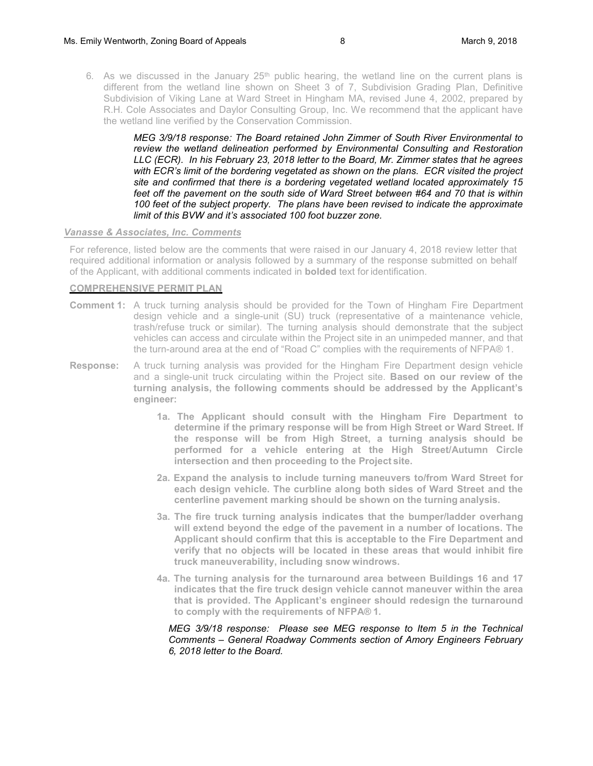6. As we discussed in the January  $25<sup>th</sup>$  public hearing, the wetland line on the current plans is different from the wetland line shown on Sheet 3 of 7, Subdivision Grading Plan, Definitive Subdivision of Viking Lane at Ward Street in Hingham MA, revised June 4, 2002, prepared by R.H. Cole Associates and Daylor Consulting Group, Inc. We recommend that the applicant have the wetland line verified by the Conservation Commission.

> *MEG 3/9/18 response: The Board retained John Zimmer of South River Environmental to review the wetland delineation performed by Environmental Consulting and Restoration LLC (ECR). In his February 23, 2018 letter to the Board, Mr. Zimmer states that he agrees with ECR's limit of the bordering vegetated as shown on the plans. ECR visited the project site and confirmed that there is a bordering vegetated wetland located approximately 15 feet off the pavement on the south side of Ward Street between #64 and 70 that is within 100 feet of the subject property. The plans have been revised to indicate the approximate limit of this BVW and it's associated 100 foot buzzer zone.*

#### *Vanasse & Associates, Inc. Comments*

For reference, listed below are the comments that were raised in our January 4, 2018 review letter that required additional information or analysis followed by a summary of the response submitted on behalf of the Applicant, with additional comments indicated in **bolded** text for identification.

# **COMPREHENSIVE PERMIT PLAN**

- **Comment 1:** A truck turning analysis should be provided for the Town of Hingham Fire Department design vehicle and a single-unit (SU) truck (representative of a maintenance vehicle, trash/refuse truck or similar). The turning analysis should demonstrate that the subject vehicles can access and circulate within the Project site in an unimpeded manner, and that the turn-around area at the end of "Road C" complies with the requirements of NFPA® 1.
- **Response:** A truck turning analysis was provided for the Hingham Fire Department design vehicle and a single-unit truck circulating within the Project site. **Based on our review of the turning analysis, the following comments should be addressed by the Applicant's engineer:**
	- **1a. The Applicant should consult with the Hingham Fire Department to determine if the primary response will be from High Street or Ward Street. If the response will be from High Street, a turning analysis should be performed for a vehicle entering at the High Street/Autumn Circle intersection and then proceeding to the Project site.**
	- **2a. Expand the analysis to include turning maneuvers to/from Ward Street for each design vehicle. The curbline along both sides of Ward Street and the centerline pavement marking should be shown on the turning analysis.**
	- **3a. The fire truck turning analysis indicates that the bumper/ladder overhang will extend beyond the edge of the pavement in a number of locations. The Applicant should confirm that this is acceptable to the Fire Department and verify that no objects will be located in these areas that would inhibit fire truck maneuverability, including snow windrows.**
	- **4a. The turning analysis for the turnaround area between Buildings 16 and 17 indicates that the fire truck design vehicle cannot maneuver within the area that is provided. The Applicant's engineer should redesign the turnaround to comply with the requirements of NFPA® 1.**

*MEG 3/9/18 response: Please see MEG response to Item 5 in the Technical Comments – General Roadway Comments section of Amory Engineers February 6, 2018 letter to the Board.*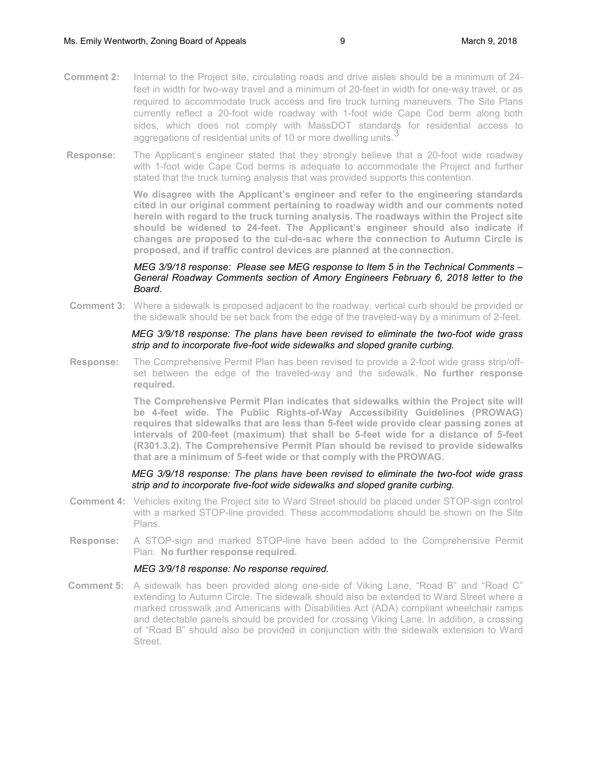- **Comment 2:** Internal to the Project site, circulating roads and drive aisles should be a minimum of 24 feet in width for two-way travel and a minimum of 20-feet in width for one-way travel, or as required to accommodate truck access and fire truck turning maneuvers. The Site Plans currently reflect a 20-foot wide roadway with 1-foot wide Cape Cod berm along both sides, which does not comply with MassDOT standards for residential access to aggregations of residential units of 10 or more dwelling units.<sup>3</sup>
- **Response:** The Applicant's engineer stated that they strongly believe that a 20-foot wide roadway with 1-foot wide Cape Cod berms is adequate to accommodate the Project and further stated that the truck turning analysis that was provided supports this contention.

**We disagree with the Applicant's engineer and refer to the engineering standards cited in our original comment pertaining to roadway width and our comments noted herein with regard to the truck turning analysis. The roadways within the Project site should be widened to 24-feet. The Applicant's engineer should also indicate if changes are proposed to the cul-de-sac where the connection to Autumn Circle is proposed, and if traffic control devices are planned at the connection.** 

### *MEG 3/9/18 response: Please see MEG response to Item 5 in the Technical Comments – General Roadway Comments section of Amory Engineers February 6, 2018 letter to the Board.*

**Comment 3:** Where a sidewalk is proposed adjacent to the roadway, vertical curb should be provided or the sidewalk should be set back from the edge of the traveled-way by a minimum of 2-feet.

#### *MEG 3/9/18 response: The plans have been revised to eliminate the two-foot wide grass strip and to incorporate five-foot wide sidewalks and sloped granite curbing.*

**Response:** The Comprehensive Permit Plan has been revised to provide a 2-foot wide grass strip/offset between the edge of the traveled-way and the sidewalk. **No further response required.**

> **The Comprehensive Permit Plan indicates that sidewalks within the Project site will be 4-feet wide. The Public Rights-of-Way Accessibility Guidelines (PROWAG) requires that sidewalks that are less than 5-feet wide provide clear passing zones at intervals of 200-feet (maximum) that shall be 5-feet wide for a distance of 5-feet (R301.3.2). The Comprehensive Permit Plan should be revised to provide sidewalks that are a minimum of 5-feet wide or that comply with the PROWAG.**

### *MEG 3/9/18 response: The plans have been revised to eliminate the two-foot wide grass strip and to incorporate five-foot wide sidewalks and sloped granite curbing.*

- **Comment 4:** Vehicles exiting the Project site to Ward Street should be placed under STOP-sign control with a marked STOP-line provided. These accommodations should be shown on the Site Plans.
- **Response:** A STOP-sign and marked STOP-line have been added to the Comprehensive Permit Plan. **No further response required.**

## *MEG 3/9/18 response: No response required.*

**Comment 5:** A sidewalk has been provided along one-side of Viking Lane, "Road B" and "Road C" extending to Autumn Circle. The sidewalk should also be extended to Ward Street where a marked crosswalk and Americans with Disabilities Act (ADA) compliant wheelchair ramps and detectable panels should be provided for crossing Viking Lane. In addition, a crossing of "Road B" should also be provided in conjunction with the sidewalk extension to Ward Street.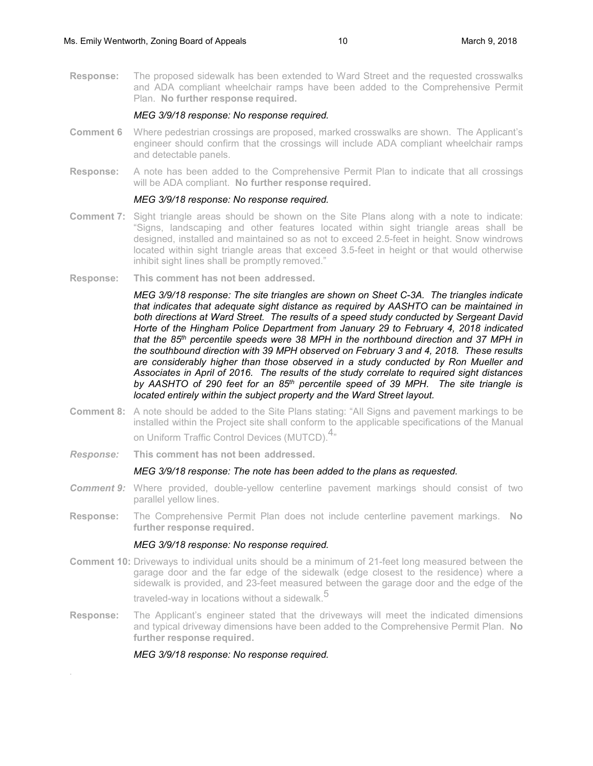**Response:** The proposed sidewalk has been extended to Ward Street and the requested crosswalks and ADA compliant wheelchair ramps have been added to the Comprehensive Permit Plan. **No further response required.** 

#### *MEG 3/9/18 response: No response required.*

- **Comment 6** Where pedestrian crossings are proposed, marked crosswalks are shown. The Applicant's engineer should confirm that the crossings will include ADA compliant wheelchair ramps and detectable panels.
- **Response:** A note has been added to the Comprehensive Permit Plan to indicate that all crossings will be ADA compliant. **No further response required.**

#### *MEG 3/9/18 response: No response required.*

- **Comment 7:** Sight triangle areas should be shown on the Site Plans along with a note to indicate: "Signs, landscaping and other features located within sight triangle areas shall be designed, installed and maintained so as not to exceed 2.5-feet in height. Snow windrows located within sight triangle areas that exceed 3.5-feet in height or that would otherwise inhibit sight lines shall be promptly removed."
- **Response: This comment has not been addressed.**

*MEG 3/9/18 response: The site triangles are shown on Sheet C-3A. The triangles indicate that indicates that adequate sight distance as required by AASHTO can be maintained in both directions at Ward Street. The results of a speed study conducted by Sergeant David Horte of the Hingham Police Department from January 29 to February 4, 2018 indicated that the 85th percentile speeds were 38 MPH in the northbound direction and 37 MPH in the southbound direction with 39 MPH observed on February 3 and 4, 2018. These results are considerably higher than those observed in a study conducted by Ron Mueller and Associates in April of 2016. The results of the study correlate to required sight distances by AASHTO of 290 feet for an 85th percentile speed of 39 MPH. The site triangle is located entirely within the subject property and the Ward Street layout.* 

- **Comment 8:** A note should be added to the Site Plans stating: "All Signs and pavement markings to be installed within the Project site shall conform to the applicable specifications of the Manual on Uniform Traffic Control Devices (MUTCD).<sup>4</sup><sup>\*</sup>
- *Response:* **This comment has not been addressed.**

#### *MEG 3/9/18 response: The note has been added to the plans as requested.*

- **Comment 9:** Where provided, double-yellow centerline pavement markings should consist of two parallel yellow lines.
- **Response:** The Comprehensive Permit Plan does not include centerline pavement markings. **No further response required.**

#### *MEG 3/9/18 response: No response required.*

**Comment 10:** Driveways to individual units should be a minimum of 21-feet long measured between the garage door and the far edge of the sidewalk (edge closest to the residence) where a sidewalk is provided, and 23-feet measured between the garage door and the edge of the traveled-way in locations without a sidewalk.<sup>5</sup>

**Response:** The Applicant's engineer stated that the driveways will meet the indicated dimensions and typical driveway dimensions have been added to the Comprehensive Permit Plan. **No further response required.**

 *MEG 3/9/18 response: No response required.*

.